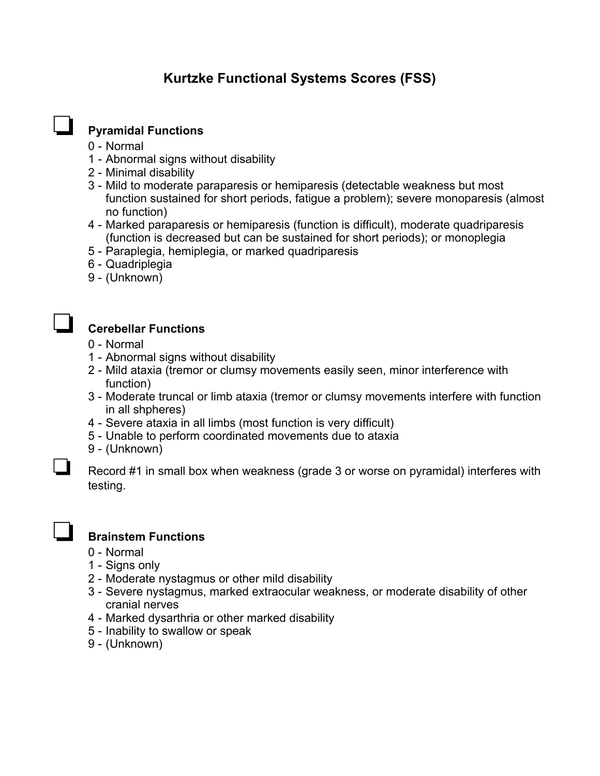# **Kurtzke Functional Systems Scores (FSS)**

## ❏ **Pyramidal Functions**

- 0 Normal
- 1 Abnormal signs without disability
- 2 Minimal disability
- 3 Mild to moderate paraparesis or hemiparesis (detectable weakness but most function sustained for short periods, fatigue a problem); severe monoparesis (almost no function)
- 4 Marked paraparesis or hemiparesis (function is difficult), moderate quadriparesis (function is decreased but can be sustained for short periods); or monoplegia
- 5 Paraplegia, hemiplegia, or marked quadriparesis
- 6 Quadriplegia
- 9 (Unknown)



#### ❏ **Cerebellar Functions**

- 0 Normal
- 1 Abnormal signs without disability
- 2 Mild ataxia (tremor or clumsy movements easily seen, minor interference with function)
- 3 Moderate truncal or limb ataxia (tremor or clumsy movements interfere with function in all shpheres)
- 4 Severe ataxia in all limbs (most function is very difficult)
- 5 Unable to perform coordinated movements due to ataxia
- 9 (Unknown)

❏ Record #1 in small box when weakness (grade 3 or worse on pyramidal) interferes with testing.



#### ❏ **Brainstem Functions**

- 0 Normal
- 1 Signs only
- 2 Moderate nystagmus or other mild disability
- 3 Severe nystagmus, marked extraocular weakness, or moderate disability of other cranial nerves
- 4 Marked dysarthria or other marked disability
- 5 Inability to swallow or speak
- 9 (Unknown)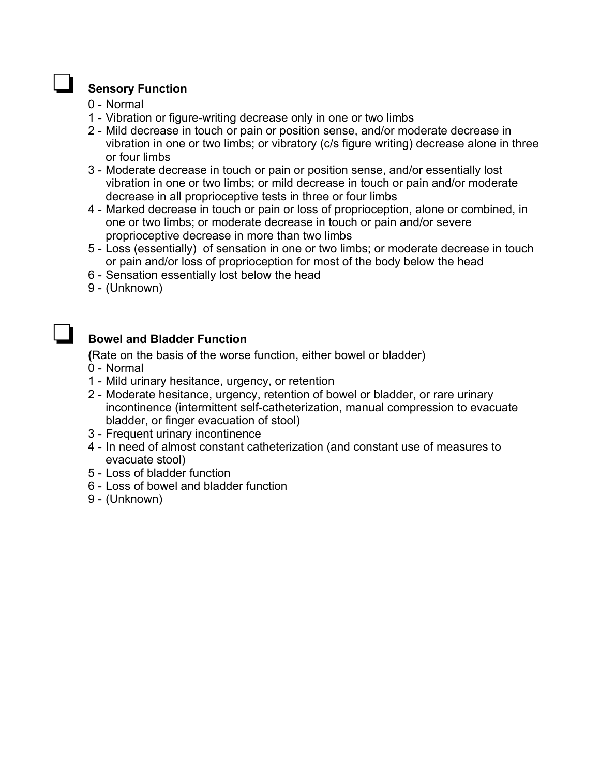#### ❏ **Sensory Function**

- 0 Normal
- 1 Vibration or figure-writing decrease only in one or two limbs
- 2 Mild decrease in touch or pain or position sense, and/or moderate decrease in vibration in one or two limbs; or vibratory (c/s figure writing) decrease alone in three or four limbs
- 3 Moderate decrease in touch or pain or position sense, and/or essentially lost vibration in one or two limbs; or mild decrease in touch or pain and/or moderate decrease in all proprioceptive tests in three or four limbs
- 4 Marked decrease in touch or pain or loss of proprioception, alone or combined, in one or two limbs; or moderate decrease in touch or pain and/or severe proprioceptive decrease in more than two limbs
- 5 Loss (essentially) of sensation in one or two limbs; or moderate decrease in touch or pain and/or loss of proprioception for most of the body below the head
- 6 Sensation essentially lost below the head
- 9 (Unknown)

## ❏ **Bowel and Bladder Function**

 **(**Rate on the basis of the worse function, either bowel or bladder)

- 0 Normal
- 1 Mild urinary hesitance, urgency, or retention
- 2 Moderate hesitance, urgency, retention of bowel or bladder, or rare urinary incontinence (intermittent self-catheterization, manual compression to evacuate bladder, or finger evacuation of stool)
- 3 Frequent urinary incontinence
- 4 In need of almost constant catheterization (and constant use of measures to evacuate stool)
- 5 Loss of bladder function
- 6 Loss of bowel and bladder function
- 9 (Unknown)